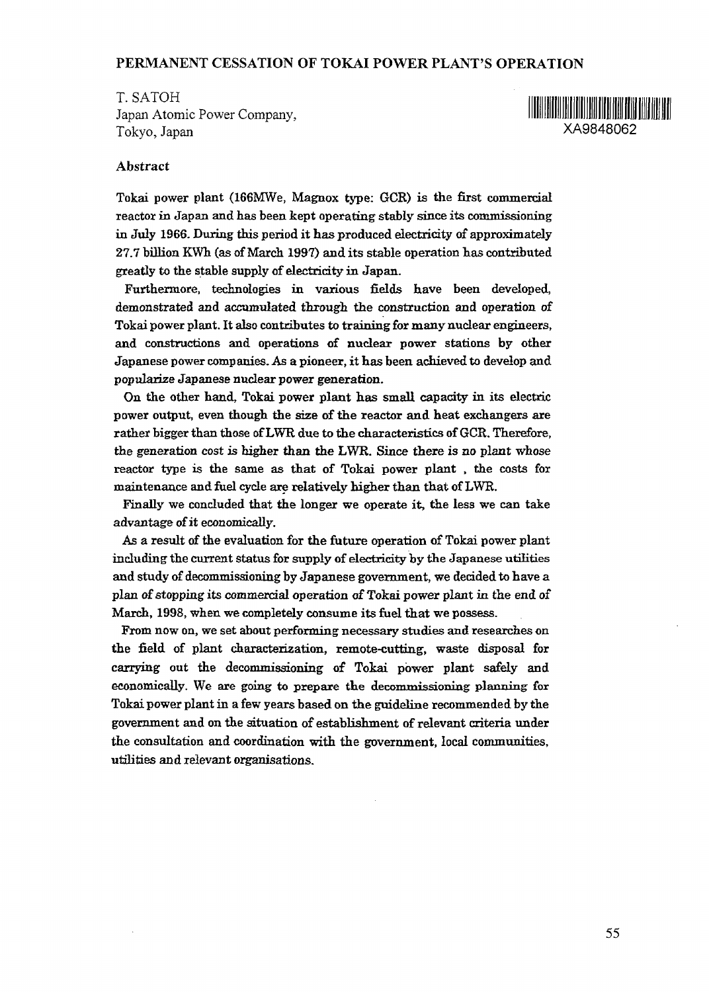### **PERMANENT CESSATION OF TOKAI POWER PLANT'S OPERATION**

T. SATOH Japan Atomic Power Company, Tokyo, Japan



### **Abstract**

Tokai power plant (166MWe, Magnox type: GCR) is the first commercial reactor in Japan and has been kept operating stably since its commissioning in July 1966. During this period it has produced electricity of approximately 27.7 billion KWh (as of March 1997) and its stable operation has contributed greatly to the stable supply of electricity in Japan.

Furthermore, technologies in various fields have been developed, demonstrated and accumulated through the construction and operation of Tokai power plant. It also contributes to training for many nuclear engineers, and constructions and operations of nuclear power stations by other Japanese power companies. As a pioneer, it has been achieved to develop and popularize Japanese nuclear power generation.

On the other hand, Tokai power plant has small capacity in its electric power output, even though the size of the reactor and heat exchangers are rather bigger than those of LWR due to the characteristics of GCR. Therefore, the generation cost is higher than the LWR. Since there is *no* plant whose reactor type is the same as that of Tokai power plant , the costs for maintenance and fuel cycle are relatively higher than that of LWR.

Finally we concluded that the longer we operate it, the less we can take advantage of it economically.

As a result of the evaluation for the future operation of Tokai power plant including the current status for supply of electricity by the Japanese utilities and study of decommissioning by Japanese government, we decided to have a plan of stopping its commercial operation of Tokai power plant in the end of March, 1998, when we completely consume its fuel that we possess.

From now on, we set about performing necessary studies and researches on the field of plant characterization, remote-cutting, waste disposal for carrying out the decommissioning of Tokai power plant safely and economically. We are going to prepare the decommissioning planning for Tokai power plant in a few years based on the guideline recommended by the government and on the situation of establishment of relevant criteria under the consultation and coordination with the government, local communities, utilities and relevant organisations.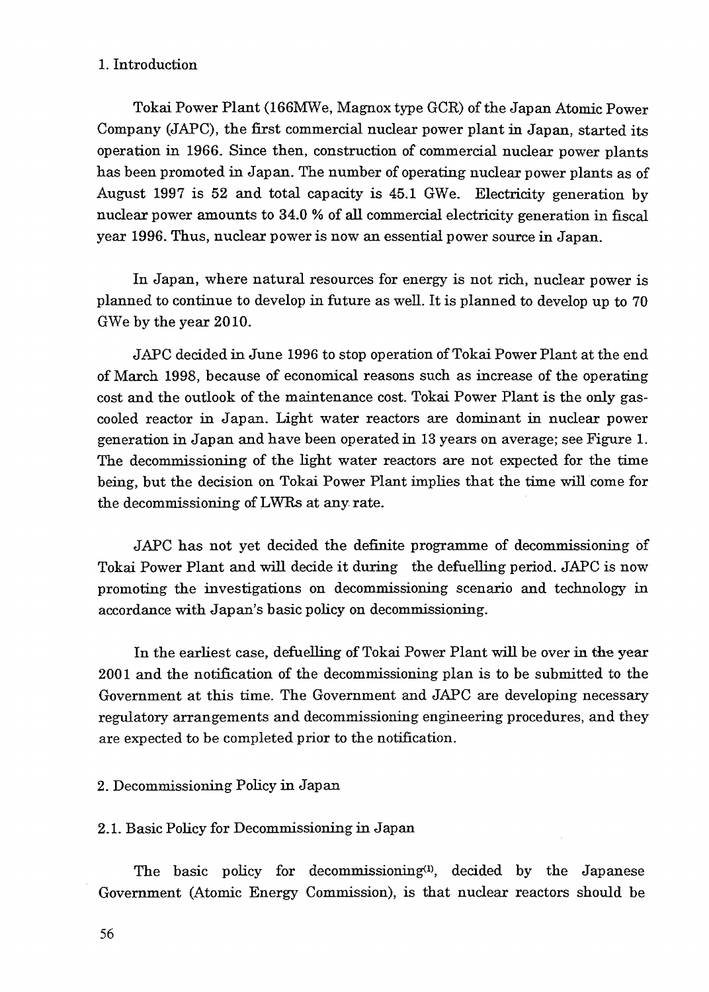## 1. Introduction

Tokai Power Plant (166MWe, Magnox type GCR) of the Japan Atomic Power Company (JAPC), the first commercial nuclear power plant in Japan, started its operation in 1966. Since then, construction of commercial nuclear power plants has been promoted in Japan. The number of operating nuclear power plants as of August 1997 is 52 and total capacity is 45.1 GWe. Electricity generation by nuclear power amounts to 34.0 % of all commercial electricity generation in fiscal year 1996. Thus, nuclear power is now an essential power source in Japan.

In Japan, where natural resources for energy is not rich, nuclear power is planned to continue to develop in future as well. It is planned to develop up to 70 GWe by the year 2010.

JAPC decided in June 1996 to stop operation of Tokai Power Plant at the end of March 1998, because of economical reasons such as increase of the operating cost and the outlook of the maintenance cost. Tokai Power Plant is the only gascooled reactor in Japan. Light water reactors are dominant in nuclear power generation in Japan and have been operated in 13 years on average; see Figure 1. The decommissioning of the light water reactors are not expected for the time being, but the decision on Tokai Power Plant implies that the time will come for the decommissioning of LWRs at any rate.

JAPC has not yet decided the definite programme of decommissioning of Tokai Power Plant and will decide it during the defuelling period. JAPC is now promoting the investigations on decommissioning scenario and technology in accordance with Japan's basic policy on decommissioning.

In the earliest case, defuelling of Tokai Power Plant will be over in the year 2001 and the notification of the decommissioning plan is to be submitted to the Government at this time. The Government and JAPC are developing necessary regulatory arrangements and decommissioning engineering procedures, and they are expected to be completed prior to the notification.

## 2. Decommissioning Policy in Japan

## 2.1. Basic Policy for Decommissioning in Japan

The basic policy for decommissioning<sup>(1)</sup>, decided by the Japanese Government (Atomic Energy Commission), is that nuclear reactors should be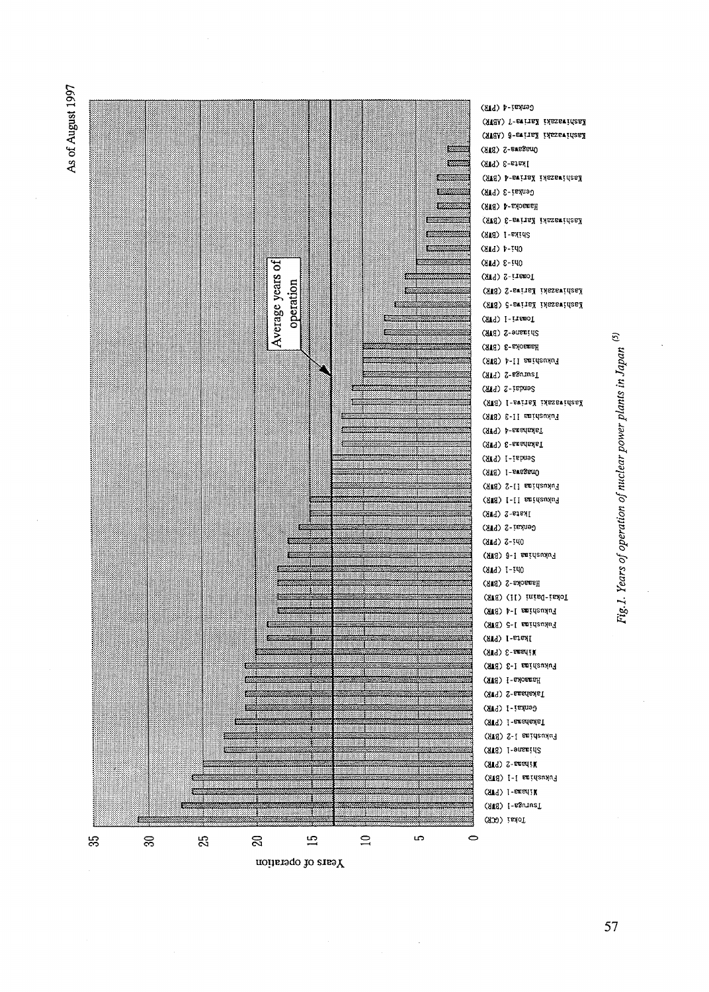



Years of operation

(SNGA) T-swinsX inssewidesX (STEA) d-switzl idssewidzal (SVS) 2-swsgard  $\left( \mathbf{N}\right)$  8-stall (SWE) A-switzX ixasswide& Genkai-3 (PTR) (SVC) A-axosaaH (STS) 8-switch ideas in STS Shika-1 (BTR) (aid ) *t-* (aid ) s-iu o (aid ) z - (SWS) S-switcl instewideal (SWS) d-switsX idssswidssX  $(8001 - 1)$ (SWR) S-ensning (SWR) 8-axoamaH Fukushima II-4 (BWR) (ATQ) S-aguiusT (AW4) 2-isbno2 (SWG) I-switsX ixesswidesX (SVR) E-II (aid ) f- (Sid ) g - (aid ) I-t (aia ) I-E (aia ) *z-u* I-I I (AWI) 2-sisil (ang) 2-i (aid ) 2-?q o 9- 1 (aid ) I-JT O (aia ) 2-BXOBIIB H (ATE) (II) inisd-i **(818) M (aia ) 9- i BOT (aid ) i-n6i( [ (Sid ) £ - £- 1** (aia ) I - **(aid ) 2-EiEqB)(Ei** (aid ) I-I (9W) I-anadakaT (STS) 2-1 smidzuści (SVS) 1-susmin2 (ATT) S-Ensrik (SWG) 1-1 sminary (SWQ) 1-smarik

n Japan **f** nuclear power  $p$ l **§1 . 6 0**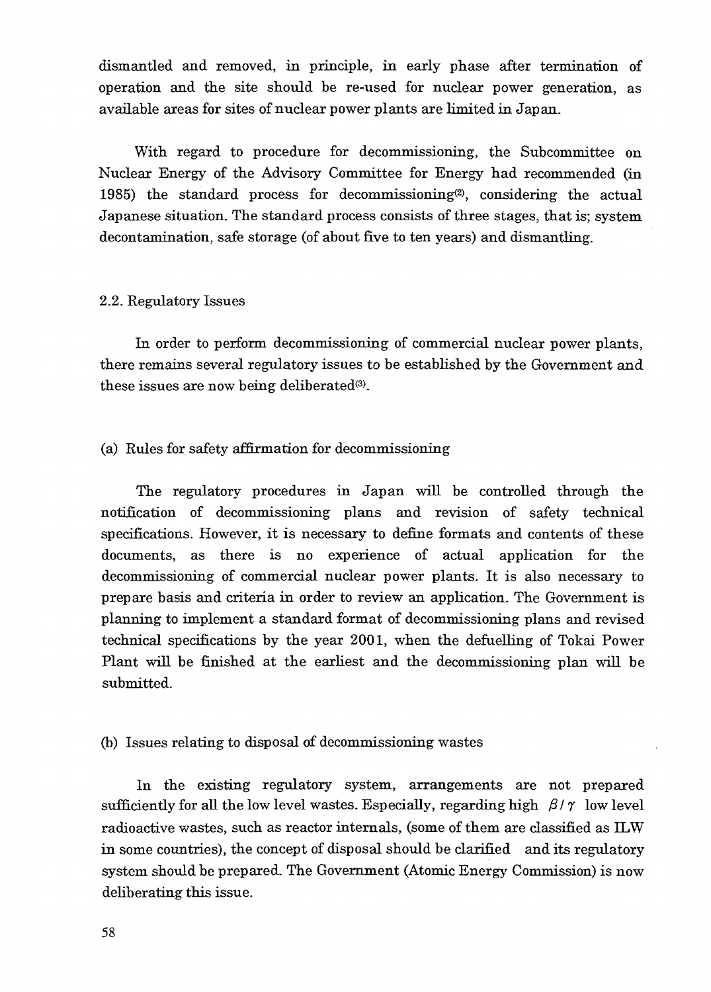dismantled and removed, in principle, in early phase after termination of operation and the site should be re-used for nuclear power generation, as available areas for sites of nuclear power plants are limited in Japan.

With regard to procedure for decommissioning, the Subcommittee on Nuclear Energy of the Advisory Committee for Energy had recommended (in 1985) the standard process for decommissioning<sup>(2)</sup>, considering the actual Japanese situation. The standard process consists of three stages, that is; system decontamination, safe storage (of about five to ten years) and dismantling.

## 2.2. Regulatory Issues

In order to perform decommissioning of commercial nuclear power plants, there remains several regulatory issues to be established by the Government and these issues are now being deliberated<sup>(3)</sup>.

### (a) Rules for safety affirmation for decommissioning

The regulatory procedures in Japan will be controlled through the notification of decommissioning plans and revision of safety technical specifications. However, it is necessary to define formats and contents of these documents, as there is no experience of actual application for the decommissioning of commercial nuclear power plants. It is also necessary to prepare basis and criteria in order to review an application. The Government is planning to implement a standard format of decommissioning plans and revised technical specifications by the year 2001, when the defuelling of Tokai Power Plant will be finished at the earliest and the decommissioning plan will be submitted.

### (b) Issues relating to disposal of decommissioning wastes

In the existing regulatory system, arrangements are not prepared sufficiently for all the low level wastes. Especially, regarding high  $\beta/\gamma$  low level radioactive wastes, such as reactor internals, (some of them are classified as ILW in some countries), the concept of disposal should be clarified and its regulatory system should be prepared. The Government (Atomic Energy Commission) is now deliberating this issue.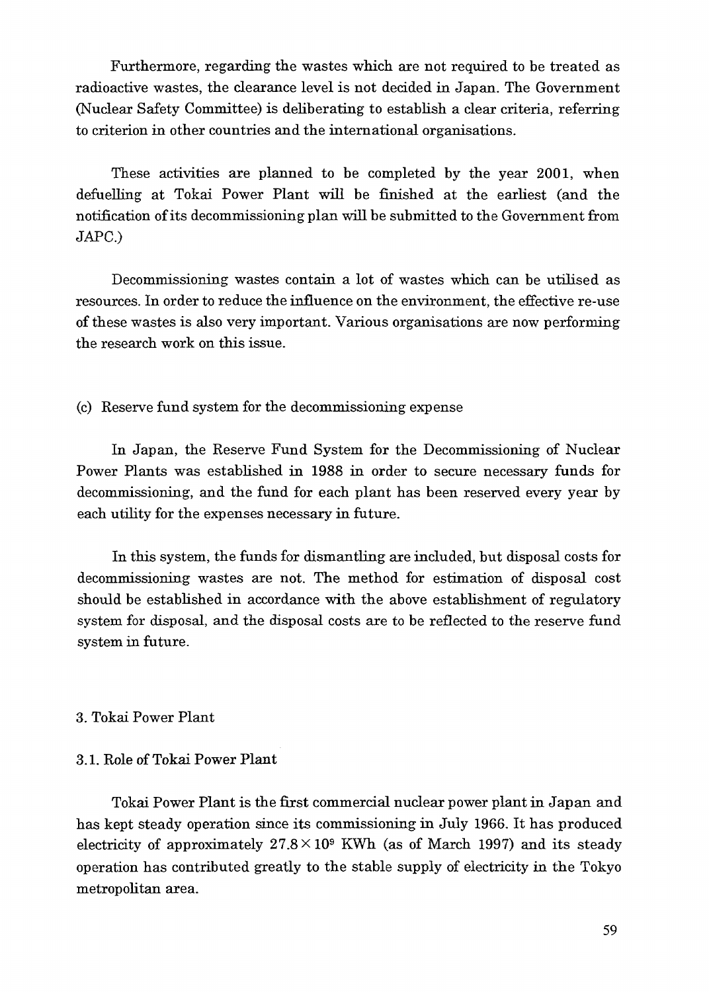Furthermore, regarding the wastes which are not required to be treated as radioactive wastes, the clearance level is not decided in Japan. The Government (Nuclear Safety Committee) is deliberating to establish a clear criteria, referring to criterion in other countries and the international organisations.

These activities are planned to be completed by the year 2001, when defuelling at Tokai Power Plant will be finished at the earliest (and the notification of its decommissioning plan will be submitted to the Government from JAPC.)

Decommissioning wastes contain a lot of wastes which can be utilised as resources. In order to reduce the influence on the environment, the effective re-use of these wastes is also very important. Various organisations are now performing the research work on this issue.

## (c) Reserve fund system for the decommissioning expense

In Japan, the Reserve Fund System for the Decommissioning of Nuclear Power Plants was established in 1988 in order to secure necessary funds for decommissioning, and the fund for each plant has been reserved every year by each utility for the expenses necessary in future.

In this system, the funds for dismantling are included, but disposal costs for decommissioning wastes are not. The method for estimation of disposal cost should be established in accordance with the above establishment of regulatory system for disposal, and the disposal costs are to be reflected to the reserve fund system in future.

## 3. Tokai Power Plant

## 3.1. Role of Tokai Power Plant

Tokai Power Plant is the first commercial nuclear power plant in Japan and has kept steady operation since its commissioning in July 1966. It has produced electricity of approximately  $27.8 \times 10^9$  KWh (as of March 1997) and its steady operation has contributed greatly to the stable supply of electricity in the Tokyo metropolitan area.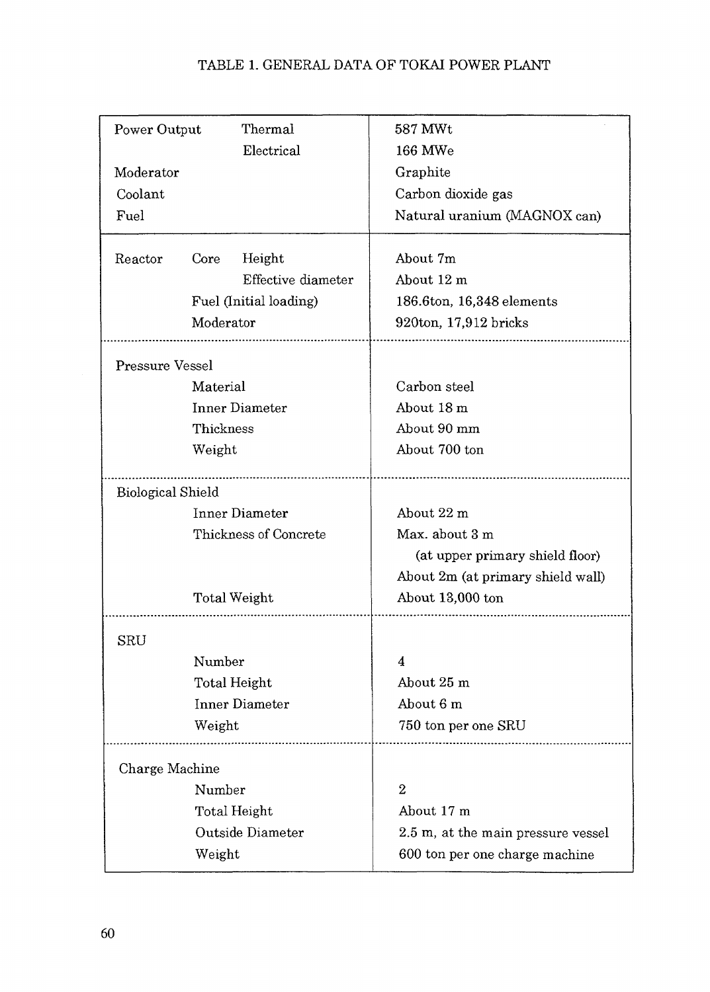# TABLE 1. GENERAL DATA OF TOKAI POWER PLANT

| Power Output             | Thermal                | 587 MWt                            |  |  |  |  |
|--------------------------|------------------------|------------------------------------|--|--|--|--|
|                          | Electrical             | 166 MWe                            |  |  |  |  |
| Moderator                |                        | Graphite                           |  |  |  |  |
| Coolant                  |                        | Carbon dioxide gas                 |  |  |  |  |
| Fuel                     |                        | Natural uranium (MAGNOX can)       |  |  |  |  |
| Reactor                  | Core<br>Height         | About 7m                           |  |  |  |  |
|                          | Effective diameter     | About 12 m                         |  |  |  |  |
|                          | Fuel (Initial loading) | 186.6ton, 16,348 elements          |  |  |  |  |
|                          | Moderator              | 920ton, 17,912 bricks              |  |  |  |  |
|                          |                        |                                    |  |  |  |  |
| <b>Pressure Vessel</b>   |                        |                                    |  |  |  |  |
|                          | Material               | Carbon steel                       |  |  |  |  |
|                          | <b>Inner Diameter</b>  | About 18 m                         |  |  |  |  |
|                          | Thickness              | About 90 mm                        |  |  |  |  |
|                          | Weight                 | About 700 ton                      |  |  |  |  |
|                          |                        |                                    |  |  |  |  |
| <b>Biological Shield</b> |                        |                                    |  |  |  |  |
|                          | Inner Diameter         | About 22 m                         |  |  |  |  |
|                          | Thickness of Concrete  | Max. about 3 m                     |  |  |  |  |
|                          |                        | (at upper primary shield floor)    |  |  |  |  |
|                          |                        | About 2m (at primary shield wall)  |  |  |  |  |
|                          | <b>Total Weight</b>    | About $13,000$ ton                 |  |  |  |  |
| SRU                      |                        |                                    |  |  |  |  |
|                          | Number                 | 4                                  |  |  |  |  |
|                          | <b>Total Height</b>    | About 25 m                         |  |  |  |  |
|                          | <b>Inner Diameter</b>  | About 6 m                          |  |  |  |  |
|                          | Weight                 | 750 ton per one SRU                |  |  |  |  |
|                          |                        |                                    |  |  |  |  |
| Charge Machine           |                        |                                    |  |  |  |  |
| Number                   |                        | $\overline{2}$                     |  |  |  |  |
|                          | Total Height           | About 17 m                         |  |  |  |  |
|                          | Outside Diameter       | 2.5 m, at the main pressure vessel |  |  |  |  |
|                          | Weight                 | 600 ton per one charge machine     |  |  |  |  |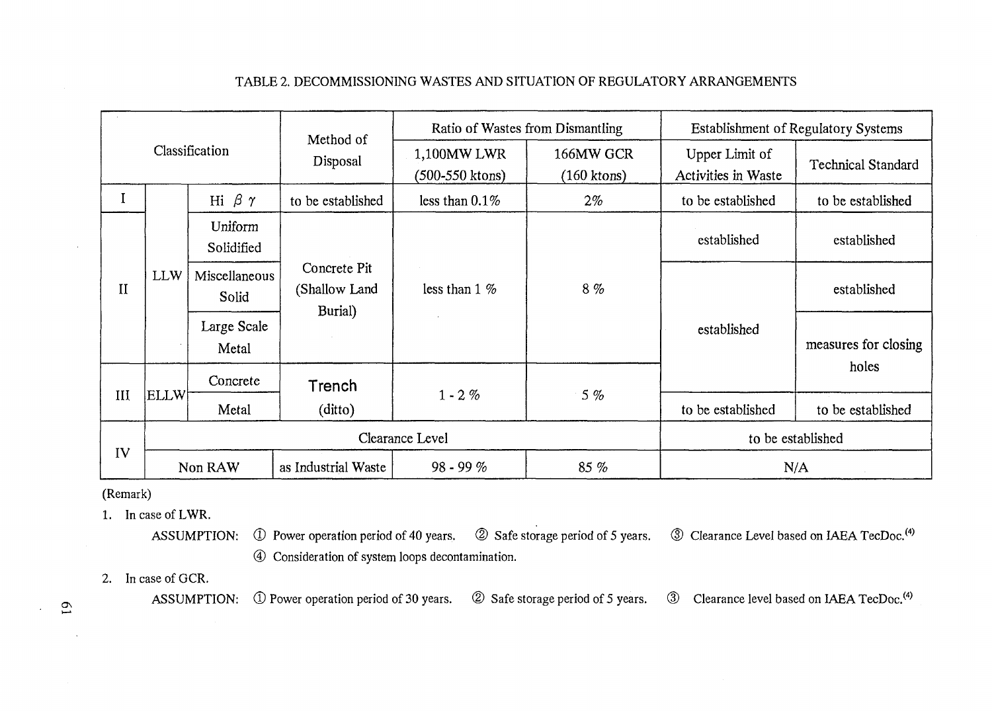| Classification |                 | Method of<br>Disposal  | Ratio of Wastes from Dismantling         |                                    | <b>Establishment of Regulatory Systems</b> |                    |                               |
|----------------|-----------------|------------------------|------------------------------------------|------------------------------------|--------------------------------------------|--------------------|-------------------------------|
|                |                 |                        | 1,100MW LWR<br>$(500-550 \text{ ktons})$ | 166MW GCR<br>$(160 \text{ ktons})$ | Upper Limit of<br>Activities in Waste      | Technical Standard |                               |
|                |                 | Hi $\beta$ $\gamma$    | to be established                        | less than $0.1\%$                  | $2\%$                                      | to be established  | to be established             |
| $\mathbf{I}$   |                 | Uniform<br>Solidified  | Concrete Pit<br>(Shallow Land<br>Burial) | less than $1\%$                    | 8%                                         | established        | established                   |
|                | <b>LLW</b>      | Miscellaneous<br>Solid |                                          |                                    |                                            | established        | established                   |
|                |                 | Large Scale<br>Metal   |                                          |                                    |                                            |                    | measures for closing<br>holes |
| III            | ELLW            | Concrete               | Trench                                   | $1 - 2\%$                          | 5%                                         |                    |                               |
|                |                 | Metal                  | (ditto)                                  |                                    |                                            | to be established  | to be established             |
| IV             | Clearance Level |                        |                                          |                                    |                                            | to be established  |                               |
|                | Non RAW         |                        | as Industrial Waste                      | $98 - 99 \%$                       | 85 %                                       | N/A                |                               |

# TABLE 2. DECOMMISSIONING WASTES AND SITUATION OF REGULATORY ARRANGEMENTS

(Remark)

1. In case of LWR.

ASSUMPTION: ① Power operation period of 40 years. ② Safe storage period of 5 years. *®* Consideration of system loops decontamination. Clearance Level based on IAEA TecDoc.(4)

2. In case of GCR.

ASSUMPTION: ① Power operation period of 30 years. ② Safe storage period of 5 years. Clearance level based on IAEA TecDoc/4)

**O\**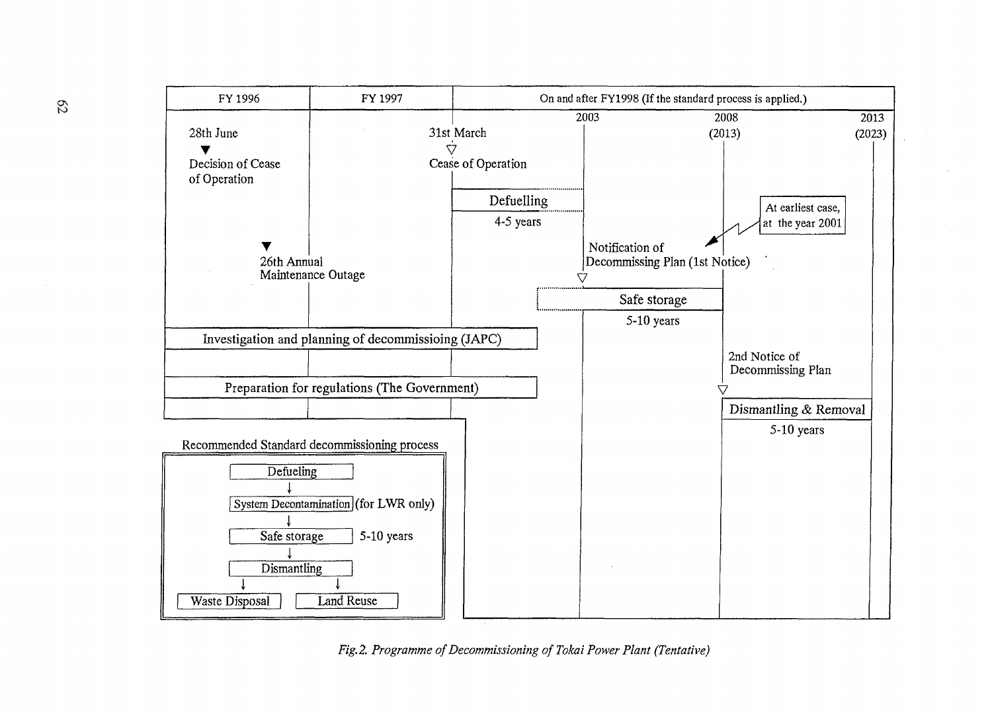

*Fig.2. Programme of Decommissioning of Tokai Power Plant (Tentative)*

to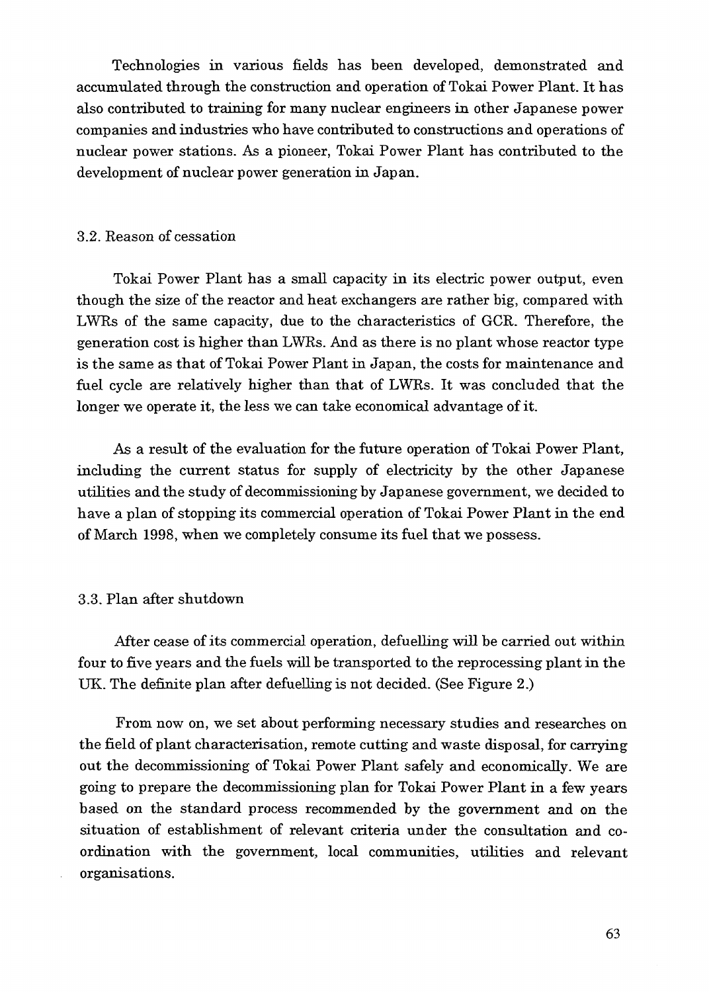Technologies in various fields has been developed, demonstrated and accumulated through the construction and operation of Tokai Power Plant. It has also contributed to training for many nuclear engineers in other Japanese power companies and industries who have contributed to constructions and operations of nuclear power stations. As a pioneer, Tokai Power Plant has contributed to the development of nuclear power generation in Japan.

### 3.2. Reason of cessation

Tokai Power Plant has a small capacity in its electric power output, even though the size of the reactor and heat exchangers are rather big, compared with LWRs of the same capacity, due to the characteristics of GCR. Therefore, the generation cost is higher than LWRs. And as there is no plant whose reactor type is the same as that of Tokai Power Plant in Japan, the costs for maintenance and fuel cycle are relatively higher than that of LWRs. It was concluded that the longer we operate it, the less we can take economical advantage of it.

As a result of the evaluation for the future operation of Tokai Power Plant, including the current status for supply of electricity by the other Japanese utilities and the study of decommissioning by Japanese government, we decided to have a plan of stopping its commercial operation of Tokai Power Plant in the end of March 1998, when we completely consume its fuel that we possess.

## 3.3. Plan after shutdown

After cease of its commercial operation, defuelling will be carried out within four to five years and the fuels will be transported to the reprocessing plant in the UK. The definite plan after defuelling is not decided. (See Figure 2.)

From now on, we set about performing necessary studies and researches on the field of plant characterisation, remote cutting and waste disposal, for carrying out the decommissioning of Tokai Power Plant safely and economically. We are going to prepare the decommissioning plan for Tokai Power Plant in a few years based on the standard process recommended by the government and on the situation of establishment of relevant criteria under the consultation and coordination with the government, local communities, utilities and relevant organisations.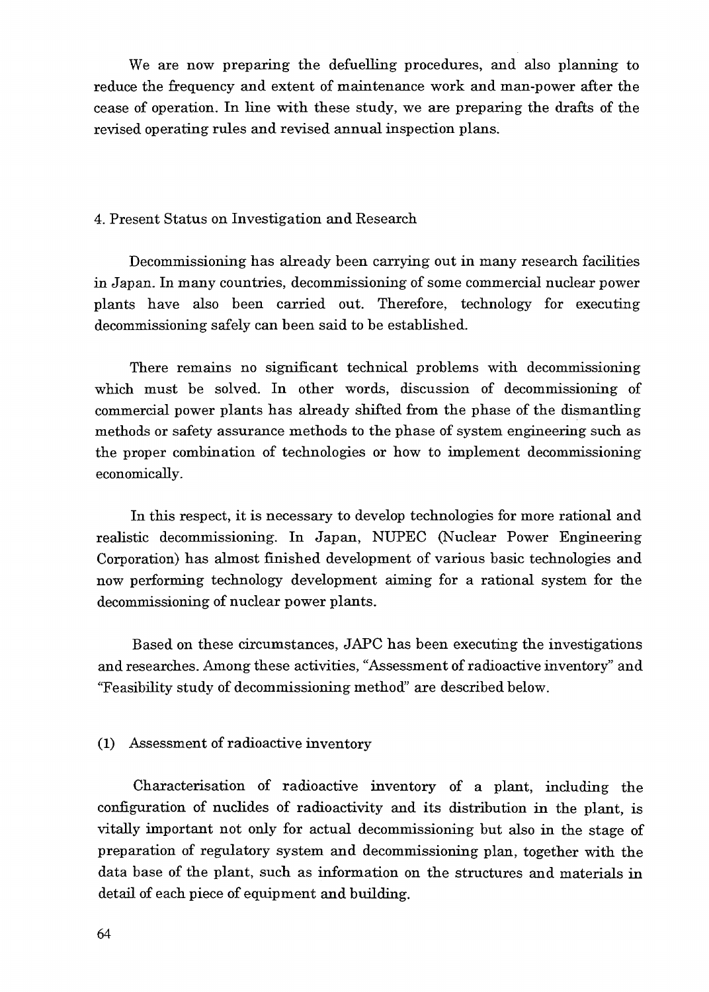We are now preparing the defuelling procedures, and also planning to reduce the frequency and extent of maintenance work and man-power after the cease of operation. In line with these study, we are preparing the drafts of the revised operating rules and revised annual inspection plans.

## 4. Present Status on Investigation and Research

Decommissioning has already been carrying out in many research facilities in Japan. In many countries, decommissioning of some commercial nuclear power plants have also been carried out. Therefore, technology for executing decommissioning safely can been said to be established.

There remains no significant technical problems with decommissioning which must be solved. In other words, discussion of decommissioning of commercial power plants has already shifted from the phase of the dismantling methods or safety assurance methods to the phase of system engineering such as the proper combination of technologies or how to implement decommissioning economically.

In this respect, it is necessary to develop technologies for more rational and realistic decommissioning. In Japan, NUPEC (Nuclear Power Engineering Corporation) has almost finished development of various basic technologies and now performing technology development aiming for a rational system for the decommissioning of nuclear power plants.

Based on these circumstances, JAPC has been executing the investigations and researches. Among these activities, "Assessment of radioactive inventory" and "Feasibility study of decommissioning method" are described below.

## (1) Assessment of radioactive inventory

Characterisation of radioactive inventory of a plant, including the configuration of nuclides of radioactivity and its distribution in the plant, is vitally important not only for actual decommissioning but also in the stage of preparation of regulatory system and decommissioning plan, together with the data base of the plant, such as information on the structures and materials in detail of each piece of equipment and building.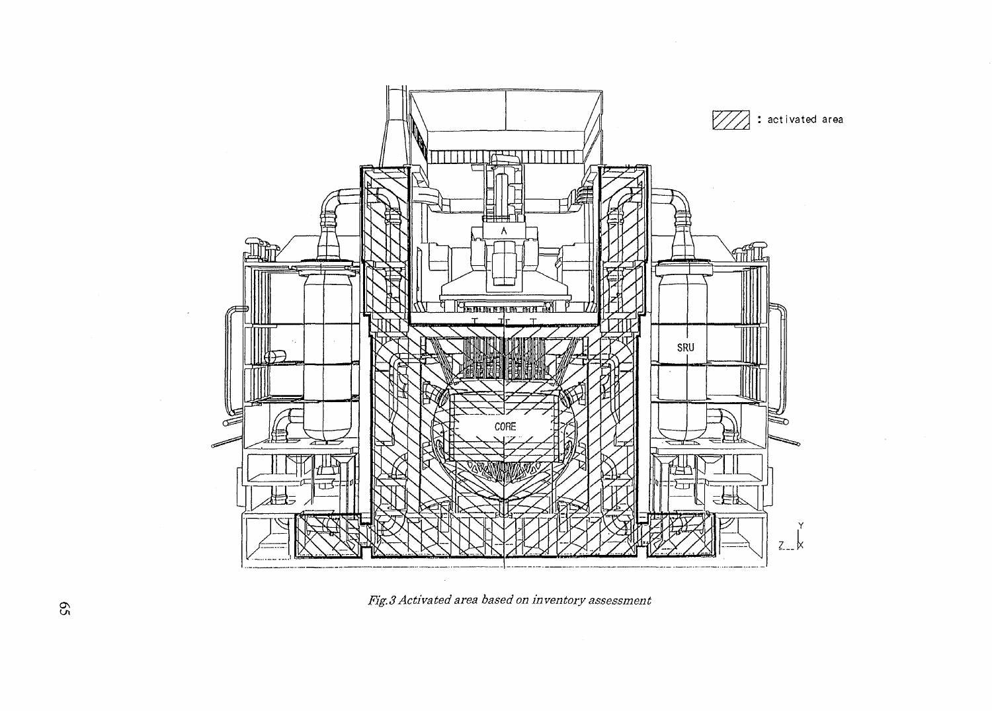

*Fig.3 Activated area based on inventory assessment*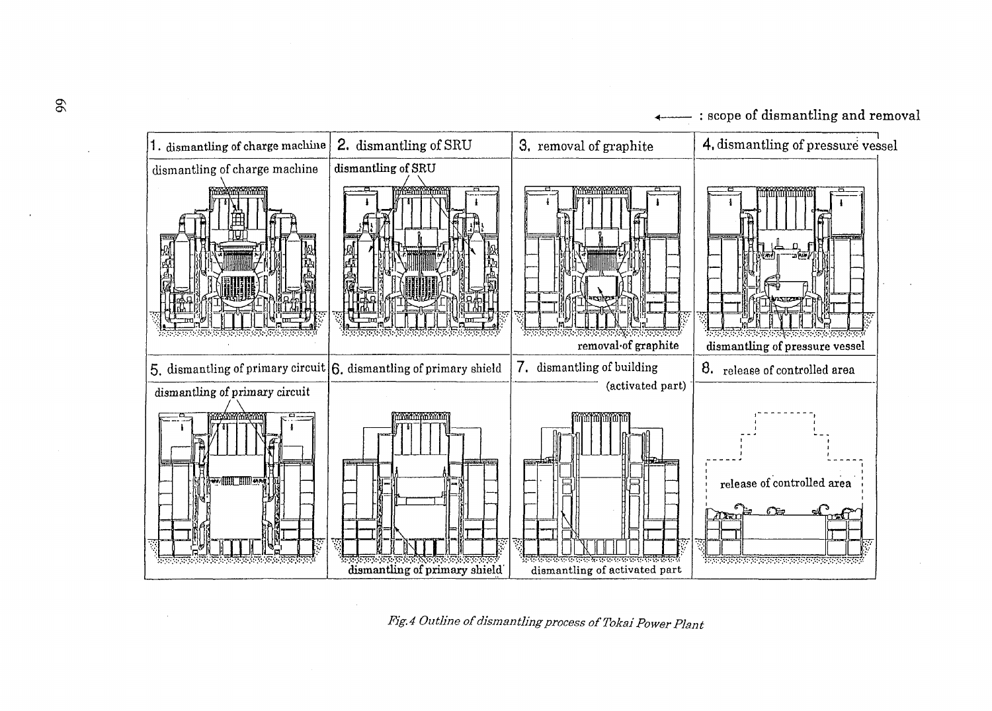: scope of dismantling and removal



*Fig.4 Outline of dismantling process of Tokai Power Plant*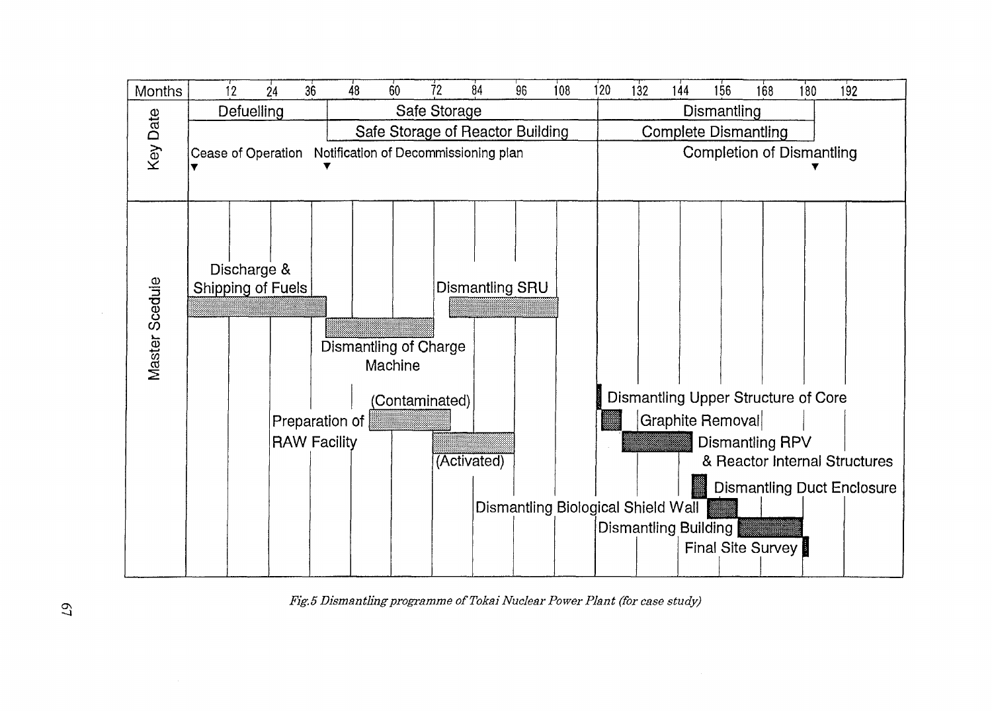

*Fig. 5 Dismantling programme of Tokai Nuclear Power Plant (for case study)*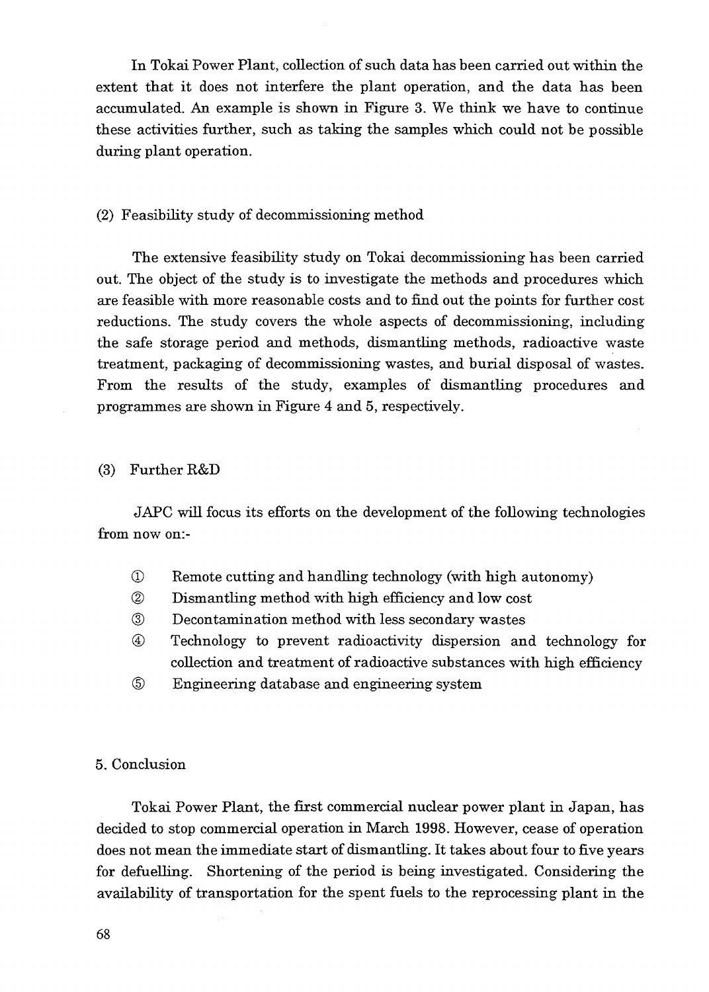In Tokai Power Plant, collection of such data has been carried out within the extent that it does not interfere the plant operation, and the data has been accumulated. An example is shown in Figure 3. We think we have to continue these activities further, such as taking the samples which could not be possible during plant operation.

### (2) Feasibility study of decommissioning method

The extensive feasibility study on Tokai decommissioning has been carried out. The object of the study is to investigate the methods and procedures which are feasible with more reasonable costs and to find out the points for further cost reductions. The study covers the whole aspects of decommissioning, including the safe storage period and methods, dismantling methods, radioactive waste treatment, packaging of decommissioning wastes, and burial disposal of wastes. From the results of the study, examples of dismantling procedures and programmes are shown in Figure 4 and 5, respectively.

### (3) Further R&D

JAPC will focus its efforts on the development of the following technologies from now on:-

- (D Remote cutting and handling technology (with high autonomy)
- (D Dismantling method with high efficiency and low cost
- (D Decontamination method with less secondary wastes
- © Technology to prevent radioactivity dispersion and technology for collection and treatment of radioactive substances with high efficiency
- (D Engineering database and engineering system

## 5. Conclusion

Tokai Power Plant, the first commercial nuclear power plant in Japan, has decided to stop commercial operation in March 1998. However, cease of operation does not mean the immediate start of dismantling. It takes about four to five years for defuelling. Shortening of the period is being investigated. Considering the availability of transportation for the spent fuels to the reprocessing plant in the